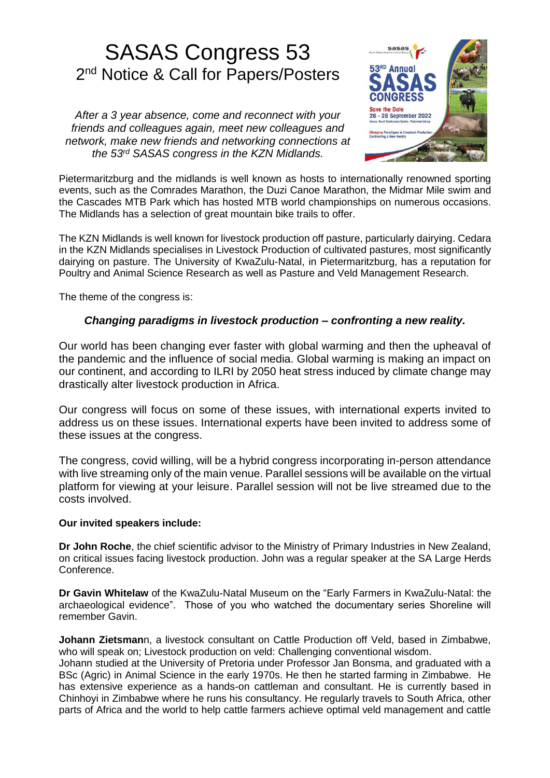# SASAS Congress 53 2<sup>nd</sup> Notice & Call for Papers/Posters

*After a 3 year absence, come and reconnect with your friends and colleagues again, meet new colleagues and network, make new friends and networking connections at the 53rd SASAS congress in the KZN Midlands.*



Pietermaritzburg and the midlands is well known as hosts to internationally renowned sporting events, such as the Comrades Marathon, the Duzi Canoe Marathon, the Midmar Mile swim and the Cascades MTB Park which has hosted MTB world championships on numerous occasions. The Midlands has a selection of great mountain bike trails to offer.

The KZN Midlands is well known for livestock production off pasture, particularly dairying. Cedara in the KZN Midlands specialises in Livestock Production of cultivated pastures, most significantly dairying on pasture. The University of KwaZulu-Natal, in Pietermaritzburg, has a reputation for Poultry and Animal Science Research as well as Pasture and Veld Management Research.

The theme of the congress is:

### *Changing paradigms in livestock production – confronting a new reality.*

Our world has been changing ever faster with global warming and then the upheaval of the pandemic and the influence of social media. Global warming is making an impact on our continent, and according to ILRI by 2050 heat stress induced by climate change may drastically alter livestock production in Africa.

Our congress will focus on some of these issues, with international experts invited to address us on these issues. International experts have been invited to address some of these issues at the congress.

The congress, covid willing, will be a hybrid congress incorporating in-person attendance with live streaming only of the main venue. Parallel sessions will be available on the virtual platform for viewing at your leisure. Parallel session will not be live streamed due to the costs involved.

#### **Our invited speakers include:**

**Dr John Roche**, the chief scientific advisor to the Ministry of Primary Industries in New Zealand, on critical issues facing livestock production. John was a regular speaker at the SA Large Herds Conference.

**Dr Gavin Whitelaw** of the KwaZulu-Natal Museum on the "Early Farmers in KwaZulu-Natal: the archaeological evidence". Those of you who watched the documentary series Shoreline will remember Gavin.

**Johann Zietsman**n, a livestock consultant on Cattle Production off Veld, based in Zimbabwe, who will speak on; Livestock production on veld: Challenging conventional wisdom.

Johann studied at the University of Pretoria under Professor Jan Bonsma, and graduated with a BSc (Agric) in Animal Science in the early 1970s. He then he started farming in Zimbabwe. He has extensive experience as a hands-on cattleman and consultant. He is currently based in Chinhoyi in Zimbabwe where he runs his consultancy. He regularly travels to South Africa, other parts of Africa and the world to help cattle farmers achieve optimal veld management and cattle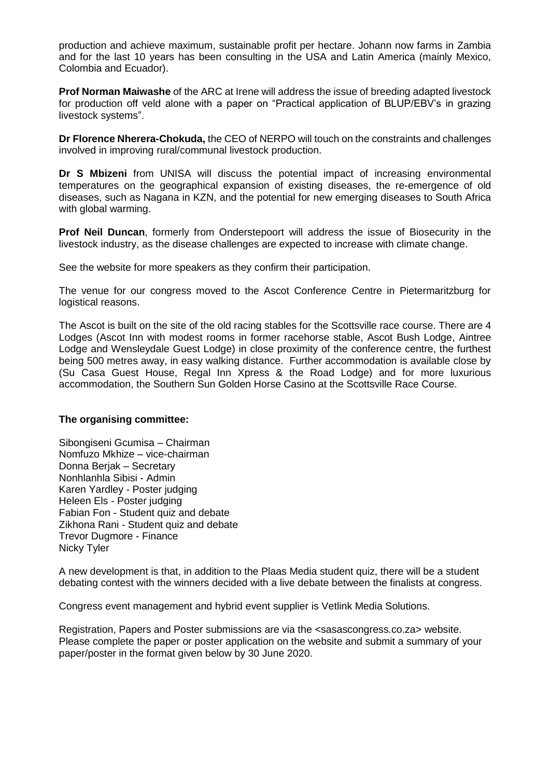production and achieve maximum, sustainable profit per hectare. Johann now farms in Zambia and for the last 10 years has been consulting in the USA and Latin America (mainly Mexico, Colombia and Ecuador).

**Prof Norman Maiwashe** of the ARC at Irene will address the issue of breeding adapted livestock for production off veld alone with a paper on "Practical application of BLUP/EBV's in grazing livestock systems".

**Dr Florence Nherera-Chokuda,** the CEO of NERPO will touch on the constraints and challenges involved in improving rural/communal livestock production.

**Dr S Mbizeni** from UNISA will discuss the potential impact of increasing environmental temperatures on the geographical expansion of existing diseases, the re-emergence of old diseases, such as Nagana in KZN, and the potential for new emerging diseases to South Africa with global warming.

**Prof Neil Duncan**, formerly from Onderstepoort will address the issue of Biosecurity in the livestock industry, as the disease challenges are expected to increase with climate change.

See the website for more speakers as they confirm their participation.

The venue for our congress moved to the Ascot Conference Centre in Pietermaritzburg for logistical reasons.

The Ascot is built on the site of the old racing stables for the Scottsville race course. There are 4 Lodges (Ascot Inn with modest rooms in former racehorse stable, Ascot Bush Lodge, Aintree Lodge and Wensleydale Guest Lodge) in close proximity of the conference centre, the furthest being 500 metres away, in easy walking distance. Further accommodation is available close by (Su Casa Guest House, Regal Inn Xpress & the Road Lodge) and for more luxurious accommodation, the Southern Sun Golden Horse Casino at the Scottsville Race Course.

#### **The organising committee:**

Sibongiseni Gcumisa – Chairman Nomfuzo Mkhize – vice-chairman Donna Berjak – Secretary Nonhlanhla Sibisi - Admin Karen Yardley - Poster judging Heleen Els - Poster judging Fabian Fon - Student quiz and debate Zikhona Rani - Student quiz and debate Trevor Dugmore - Finance Nicky Tyler

A new development is that, in addition to the Plaas Media student quiz, there will be a student debating contest with the winners decided with a live debate between the finalists at congress.

Congress event management and hybrid event supplier is Vetlink Media Solutions.

Registration, Papers and Poster submissions are via the <sasascongress.co.za> website. Please complete the paper or poster application on the website and submit a summary of your paper/poster in the format given below by 30 June 2020.